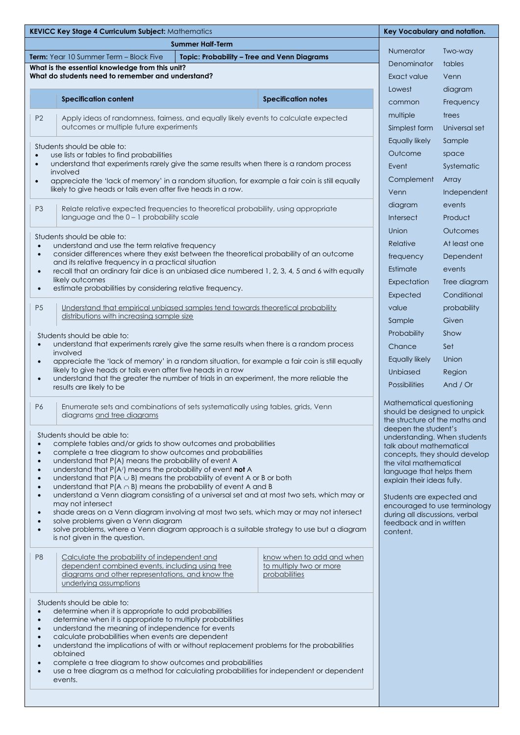| <b>KEVICC Key Stage 4 Curriculum Subject: Mathematics</b>                                                                |                                                                                                                                              |                                                                 |                                | Key Vocabulary and notation. |  |
|--------------------------------------------------------------------------------------------------------------------------|----------------------------------------------------------------------------------------------------------------------------------------------|-----------------------------------------------------------------|--------------------------------|------------------------------|--|
|                                                                                                                          | <b>Summer Half-Term</b>                                                                                                                      |                                                                 |                                |                              |  |
|                                                                                                                          | Topic: Probability - Tree and Venn Diagrams<br>Term: Year 10 Summer Term - Block Five                                                        | Numerator                                                       | Two-way                        |                              |  |
|                                                                                                                          | What is the essential knowledge from this unit?                                                                                              | Denominator                                                     | tables                         |                              |  |
|                                                                                                                          | What do students need to remember and understand?                                                                                            | Exact value                                                     | Venn                           |                              |  |
|                                                                                                                          |                                                                                                                                              |                                                                 | Lowest                         | diagram                      |  |
|                                                                                                                          | <b>Specification content</b>                                                                                                                 | <b>Specification notes</b>                                      | common                         | Frequency                    |  |
| P <sub>2</sub>                                                                                                           |                                                                                                                                              |                                                                 | multiple                       | trees                        |  |
|                                                                                                                          | Apply ideas of randomness, fairness, and equally likely events to calculate expected<br>outcomes or multiple future experiments              |                                                                 | Simplest form                  | Universal set                |  |
|                                                                                                                          |                                                                                                                                              |                                                                 | Equally likely                 | Sample                       |  |
|                                                                                                                          | Students should be able to:                                                                                                                  | Outcome                                                         |                                |                              |  |
| $\bullet$<br>$\bullet$                                                                                                   | use lists or tables to find probabilities<br>understand that experiments rarely give the same results when there is a random process         |                                                                 | space                          |                              |  |
| involved                                                                                                                 |                                                                                                                                              |                                                                 | Event                          | Systematic                   |  |
| $\bullet$                                                                                                                | appreciate the 'lack of memory' in a random situation, for example a fair coin is still equally                                              | Complement                                                      | Array                          |                              |  |
|                                                                                                                          | likely to give heads or tails even after five heads in a row.                                                                                |                                                                 | Venn                           | Independent                  |  |
| P <sub>3</sub>                                                                                                           | Relate relative expected frequencies to theoretical probability, using appropriate                                                           |                                                                 | diagram                        | events                       |  |
| language and the $0 - 1$ probability scale                                                                               |                                                                                                                                              |                                                                 | <b>Intersect</b>               | Product                      |  |
|                                                                                                                          |                                                                                                                                              | Union                                                           | <b>Outcomes</b>                |                              |  |
| $\bullet$                                                                                                                | Students should be able to:<br>understand and use the term relative frequency                                                                |                                                                 | Relative                       | At least one                 |  |
| $\bullet$                                                                                                                | consider differences where they exist between the theoretical probability of an outcome                                                      |                                                                 | frequency                      | Dependent                    |  |
|                                                                                                                          | and its relative frequency in a practical situation                                                                                          |                                                                 | Estimate                       | events                       |  |
| $\bullet$                                                                                                                | recall that an ordinary fair dice is an unbiased dice numbered 1, 2, 3, 4, 5 and 6 with equally<br>likely outcomes                           |                                                                 |                                |                              |  |
| $\bullet$                                                                                                                | estimate probabilities by considering relative frequency.                                                                                    |                                                                 | Expectation                    | Tree diagram                 |  |
|                                                                                                                          |                                                                                                                                              |                                                                 | Expected                       | Conditional                  |  |
| P <sub>5</sub>                                                                                                           | Understand that empirical unbiased samples tend towards theoretical probability<br>distributions with increasing sample size                 |                                                                 | value                          | probability                  |  |
|                                                                                                                          |                                                                                                                                              |                                                                 | Sample                         | Given                        |  |
|                                                                                                                          | Students should be able to:                                                                                                                  |                                                                 | Probability                    | Show                         |  |
| understand that experiments rarely give the same results when there is a random process<br>$\bullet$                     |                                                                                                                                              |                                                                 | Chance                         | Set                          |  |
| involved<br>appreciate the 'lack of memory' in a random situation, for example a fair coin is still equally<br>$\bullet$ |                                                                                                                                              |                                                                 | Equally likely                 | Union                        |  |
| likely to give heads or tails even after five heads in a row                                                             |                                                                                                                                              |                                                                 | <b>Unbiased</b>                | Region                       |  |
| $\bullet$                                                                                                                | understand that the greater the number of trials in an experiment, the more reliable the                                                     |                                                                 | <b>Possibilities</b>           | And $/$ Or                   |  |
|                                                                                                                          | results are likely to be                                                                                                                     |                                                                 |                                |                              |  |
| P6                                                                                                                       | Mathematical questioning<br>Enumerate sets and combinations of sets systematically using tables, grids, Venn<br>should be designed to unpick |                                                                 |                                |                              |  |
|                                                                                                                          | diagrams and tree diagrams                                                                                                                   |                                                                 | the structure of the maths and |                              |  |
| deepen the student's                                                                                                     |                                                                                                                                              |                                                                 |                                |                              |  |
| $\bullet$                                                                                                                | Students should be able to:<br>complete tables and/or grids to show outcomes and probabilities                                               | understanding. When students<br>talk about mathematical         |                                |                              |  |
| $\bullet$                                                                                                                | complete a tree diagram to show outcomes and probabilities                                                                                   | concepts, they should develop                                   |                                |                              |  |
| $\bullet$                                                                                                                | understand that P(A) means the probability of event A                                                                                        | the vital mathematical                                          |                                |                              |  |
| $\bullet$<br>$\bullet$                                                                                                   | understand that P(A/) means the probability of event not A<br>understand that $P(A \cup B)$ means the probability of event A or B or both    | language that helps them<br>explain their ideas fully.          |                                |                              |  |
| $\bullet$                                                                                                                | understand that $P(A \cap B)$ means the probability of event A and B                                                                         |                                                                 |                                |                              |  |
| $\bullet$                                                                                                                | understand a Venn diagram consisting of a universal set and at most two sets, which may or<br>may not intersect                              | Students are expected and                                       |                                |                              |  |
| $\bullet$                                                                                                                | shade areas on a Venn diagram involving at most two sets, which may or may not intersect                                                     | encouraged to use terminology<br>during all discussions, verbal |                                |                              |  |
| $\bullet$                                                                                                                | solve problems given a Venn diagram                                                                                                          | feedback and in written                                         |                                |                              |  |
| $\bullet$                                                                                                                | solve problems, where a Venn diagram approach is a suitable strategy to use but a diagram<br>is not given in the question.                   |                                                                 | content.                       |                              |  |
|                                                                                                                          |                                                                                                                                              |                                                                 |                                |                              |  |
| P <sub>8</sub>                                                                                                           | Calculate the probability of independent and                                                                                                 | know when to add and when                                       |                                |                              |  |
|                                                                                                                          | dependent combined events, including using tree<br>diagrams and other representations, and know the                                          | to multiply two or more<br>probabilities                        |                                |                              |  |
|                                                                                                                          | underlying assumptions                                                                                                                       |                                                                 |                                |                              |  |
|                                                                                                                          |                                                                                                                                              |                                                                 |                                |                              |  |
|                                                                                                                          | Students should be able to:                                                                                                                  |                                                                 |                                |                              |  |
| $\bullet$<br>$\bullet$                                                                                                   | determine when it is appropriate to add probabilities<br>determine when it is appropriate to multiply probabilities                          |                                                                 |                                |                              |  |
| understand the meaning of independence for events<br>$\bullet$                                                           |                                                                                                                                              |                                                                 |                                |                              |  |
| calculate probabilities when events are dependent<br>$\bullet$<br>$\bullet$                                              |                                                                                                                                              |                                                                 |                                |                              |  |
| understand the implications of with or without replacement problems for the probabilities<br>obtained                    |                                                                                                                                              |                                                                 |                                |                              |  |
| $\bullet$                                                                                                                | complete a tree diagram to show outcomes and probabilities                                                                                   |                                                                 |                                |                              |  |
| use a tree diagram as a method for calculating probabilities for independent or dependent<br>$\bullet$                   |                                                                                                                                              |                                                                 |                                |                              |  |
| events.                                                                                                                  |                                                                                                                                              |                                                                 |                                |                              |  |

п